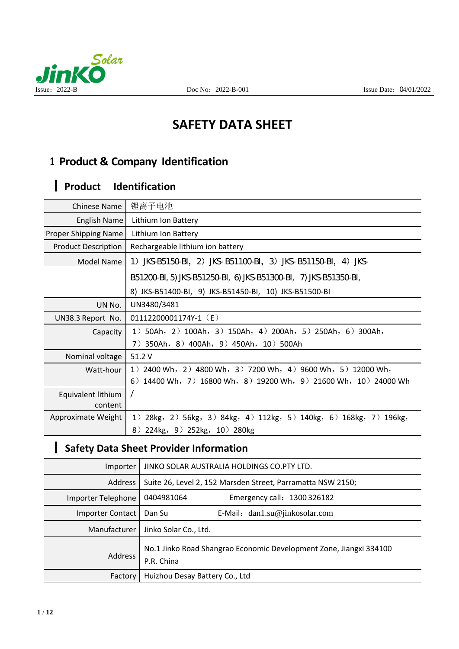

# **SAFETY DATA SHEET**

## **1 Product & Company Identification**

# 丨 **Product Identification**

| <b>Chinese Name</b>        | 锂离子电池                                                                    |
|----------------------------|--------------------------------------------------------------------------|
| English Name               | Lithium Ion Battery                                                      |
| Proper Shipping Name       | Lithium Ion Battery                                                      |
| <b>Product Description</b> | Rechargeable lithium ion battery                                         |
| Model Name                 | 1) JKS-B5150-BI, 2) JKS-B51100-BI, 3) JKS-B51150-BI, 4) JKS-             |
|                            | B51200-BI, 5) JKS-B51250-BI, 6) JKS-B51300-BI, 7) JKS-B51350-BI,         |
|                            | 8) JKS-B51400-BI, 9) JKS-B51450-BI, 10) JKS-B51500-BI                    |
| UN No.                     | UN3480/3481                                                              |
| UN38.3 Report No.          | 01112200001174Y-1 (E)                                                    |
| Capacity                   | 1) 50Ah, 2) 100Ah, 3) 150Ah, 4) 200Ah, 5) 250Ah, 6) 300Ah,               |
|                            | 7) 350Ah, 8) 400Ah, 9) 450Ah, 10) 500Ah                                  |
| Nominal voltage            | 51.2 V                                                                   |
| Watt-hour                  | 1) 2400 Wh, 2) 4800 Wh, 3) 7200 Wh, 4) 9600 Wh, 5) 12000 Wh,             |
|                            | 6) $14400$ Wh, 7) $16800$ Wh, 8) $19200$ Wh, 9) $21600$ Wh, 10) 24000 Wh |
| Equivalent lithium         |                                                                          |
| content                    |                                                                          |
| Approximate Weight         | 1) 28kg, 2) 56kg, 3) 84kg, 4) 112kg, 5) 140kg, 6) 168kg, 7) 196kg,       |
|                            | 8) 224kg, 9) 252kg, 10) 280kg                                            |

## 丨 **Safety Data Sheet Provider Information**

| Importer           | JINKO SOLAR AUSTRALIA HOLDINGS CO.PTY LTD.                                       |  |  |
|--------------------|----------------------------------------------------------------------------------|--|--|
| Address            | Suite 26, Level 2, 152 Marsden Street, Parramatta NSW 2150;                      |  |  |
| Importer Telephone | 0404981064<br>Emergency call: 1300 326182                                        |  |  |
| Importer Contact   | E-Mail: $dan1.su@jinkosolar.com$<br>Dan Su                                       |  |  |
| Manufacturer       | Jinko Solar Co., Ltd.                                                            |  |  |
| <b>Address</b>     | No.1 Jinko Road Shangrao Economic Development Zone, Jiangxi 334100<br>P.R. China |  |  |
| Factory            | Huizhou Desay Battery Co., Ltd                                                   |  |  |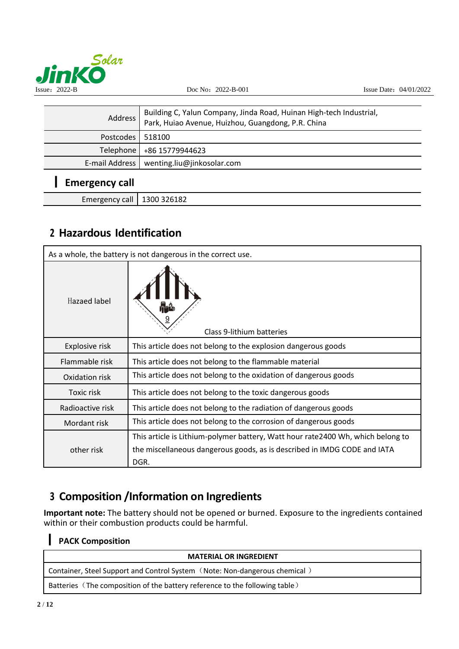

| Address                      | Building C, Yalun Company, Jinda Road, Huinan High-tech Industrial,<br>Park, Huiao Avenue, Huizhou, Guangdong, P.R. China |  |
|------------------------------|---------------------------------------------------------------------------------------------------------------------------|--|
| Postcodes                    | 518100                                                                                                                    |  |
| Telephone                    | +86 15779944623                                                                                                           |  |
| E-mail Address               | wenting.liu@jinkosolar.com                                                                                                |  |
| <b>Emergency call</b>        |                                                                                                                           |  |
| Emergency call   1300 326182 |                                                                                                                           |  |

## **2 Hazardous Identification**

| As a whole, the battery is not dangerous in the correct use. |                                                                                                                                                              |  |
|--------------------------------------------------------------|--------------------------------------------------------------------------------------------------------------------------------------------------------------|--|
| <b>Hazaed label</b>                                          | Class 9-lithium batteries                                                                                                                                    |  |
| Explosive risk                                               | This article does not belong to the explosion dangerous goods                                                                                                |  |
| Flammable risk                                               | This article does not belong to the flammable material                                                                                                       |  |
| Oxidation risk                                               | This article does not belong to the oxidation of dangerous goods                                                                                             |  |
| Toxic risk                                                   | This article does not belong to the toxic dangerous goods                                                                                                    |  |
| Radioactive risk                                             | This article does not belong to the radiation of dangerous goods                                                                                             |  |
| Mordant risk                                                 | This article does not belong to the corrosion of dangerous goods                                                                                             |  |
| other risk                                                   | This article is Lithium-polymer battery, Watt hour rate 2400 Wh, which belong to<br>the miscellaneous dangerous goods, as is described in IMDG CODE and IATA |  |
|                                                              | DGR.                                                                                                                                                         |  |

## **3 Composition /Information on Ingredients**

**Important note:** The battery should not be opened or burned. Exposure to the ingredients contained within or their combustion products could be harmful.

#### **PACK Composition**

| <b>MATERIAL OR INGREDIENT</b>                                               |
|-----------------------------------------------------------------------------|
| Container, Steel Support and Control System (Note: Non-dangerous chemical)  |
| Batteries (The composition of the battery reference to the following table) |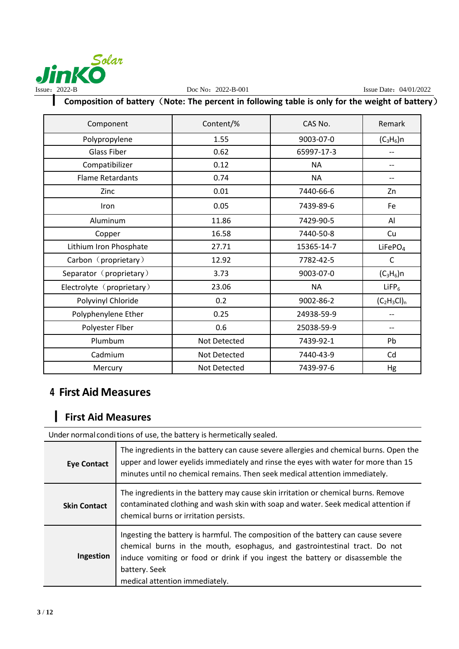

## 丨 **Composition of battery**(**Note: The percent in following table is only for the weight of battery**)

| Component                 | Content/%    | CAS No.    | Remark              |
|---------------------------|--------------|------------|---------------------|
| Polypropylene             | 1.55         | 9003-07-0  | $(C_3H_6)$ n        |
| <b>Glass Fiber</b>        | 0.62         | 65997-17-3 |                     |
| Compatibilizer            | 0.12         | <b>NA</b>  |                     |
| <b>Flame Retardants</b>   | 0.74         | <b>NA</b>  |                     |
| Zinc                      | 0.01         | 7440-66-6  | Zn                  |
| Iron                      | 0.05         | 7439-89-6  | Fe                  |
| Aluminum                  | 11.86        | 7429-90-5  | Al                  |
| Copper                    | 16.58        | 7440-50-8  | Cu                  |
| Lithium Iron Phosphate    | 27.71        | 15365-14-7 | LiFePO <sub>4</sub> |
| Carbon (proprietary)      | 12.92        | 7782-42-5  | C                   |
| Separator (proprietary)   | 3.73         | 9003-07-0  | $(C_3H_6)$ n        |
| Electrolyte (proprietary) | 23.06        | <b>NA</b>  | $L$ iFP $_6$        |
| Polyvinyl Chloride        | 0.2          | 9002-86-2  | $(C_2H_3Cl)_n$      |
| Polyphenylene Ether       | 0.25         | 24938-59-9 |                     |
| Polyester Flber           | 0.6          | 25038-59-9 |                     |
| Plumbum                   | Not Detected | 7439-92-1  | Pb                  |
| Cadmium                   | Not Detected | 7440-43-9  | Cd                  |
| Mercury                   | Not Detected | 7439-97-6  | Hg                  |

#### **4 First Aid Measures**

### 丨 **First Aid Measures**

Under normal conditions of use, the battery is hermetically sealed.

| <b>Eye Contact</b>  | The ingredients in the battery can cause severe allergies and chemical burns. Open the<br>upper and lower eyelids immediately and rinse the eyes with water for more than 15<br>minutes until no chemical remains. Then seek medical attention immediately.                                         |
|---------------------|-----------------------------------------------------------------------------------------------------------------------------------------------------------------------------------------------------------------------------------------------------------------------------------------------------|
| <b>Skin Contact</b> | The ingredients in the battery may cause skin irritation or chemical burns. Remove<br>contaminated clothing and wash skin with soap and water. Seek medical attention if<br>chemical burns or irritation persists.                                                                                  |
| Ingestion           | Ingesting the battery is harmful. The composition of the battery can cause severe<br>chemical burns in the mouth, esophagus, and gastrointestinal tract. Do not<br>induce vomiting or food or drink if you ingest the battery or disassemble the<br>battery. Seek<br>medical attention immediately. |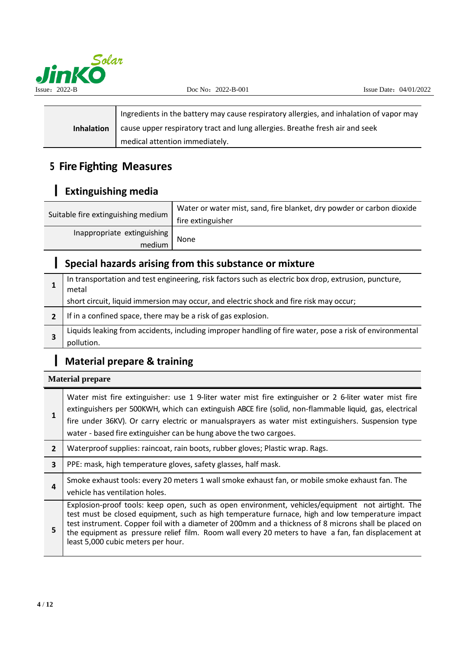

|                   | Ingredients in the battery may cause respiratory allergies, and inhalation of vapor may |
|-------------------|-----------------------------------------------------------------------------------------|
| <b>Inhalation</b> | cause upper respiratory tract and lung allergies. Breathe fresh air and seek            |
|                   | medical attention immediately.                                                          |

## **5 Fire Fighting Measures**

## 丨 **Extinguishing media**

| Suitable fire extinguishing medium    | Water or water mist, sand, fire blanket, dry powder or carbon dioxide<br>fire extinguisher |
|---------------------------------------|--------------------------------------------------------------------------------------------|
| Inappropriate extinguishing<br>medium | None                                                                                       |

## 丨 **Special hazards arising from this substance or mixture**

| In transportation and test engineering, risk factors such as electric box drop, extrusion, puncture,<br>metal |
|---------------------------------------------------------------------------------------------------------------|
| short circuit, liquid immersion may occur, and electric shock and fire risk may occur;                        |
| If in a confined space, there may be a risk of gas explosion.                                                 |
| Liquids leaking from accidents, including improper handling of fire water, pose a risk of environmental       |
| pollution.                                                                                                    |

## 丨 **Material prepare & training**

**Material prepare**

|                         | Water mist fire extinguisher: use 1 9-liter water mist fire extinguisher or 2 6-liter water mist fire<br>extinguishers per 500KWH, which can extinguish ABCE fire (solid, non-flammable liquid, gas, electrical<br>fire under 36KV). Or carry electric or manualsprayers as water mist extinguishers. Suspension type<br>water - based fire extinguisher can be hung above the two cargoes.                                                                |
|-------------------------|------------------------------------------------------------------------------------------------------------------------------------------------------------------------------------------------------------------------------------------------------------------------------------------------------------------------------------------------------------------------------------------------------------------------------------------------------------|
| $\overline{2}$          | Waterproof supplies: raincoat, rain boots, rubber gloves; Plastic wrap. Rags.                                                                                                                                                                                                                                                                                                                                                                              |
| $\overline{\mathbf{3}}$ | PPE: mask, high temperature gloves, safety glasses, half mask.                                                                                                                                                                                                                                                                                                                                                                                             |
| 4                       | Smoke exhaust tools: every 20 meters 1 wall smoke exhaust fan, or mobile smoke exhaust fan. The<br>vehicle has ventilation holes.                                                                                                                                                                                                                                                                                                                          |
| 5                       | Explosion-proof tools: keep open, such as open environment, vehicles/equipment not airtight. The<br>test must be closed equipment, such as high temperature furnace, high and low temperature impact<br>test instrument. Copper foil with a diameter of 200mm and a thickness of 8 microns shall be placed on<br>the equipment as pressure relief film. Room wall every 20 meters to have a fan, fan displacement at<br>least 5,000 cubic meters per hour. |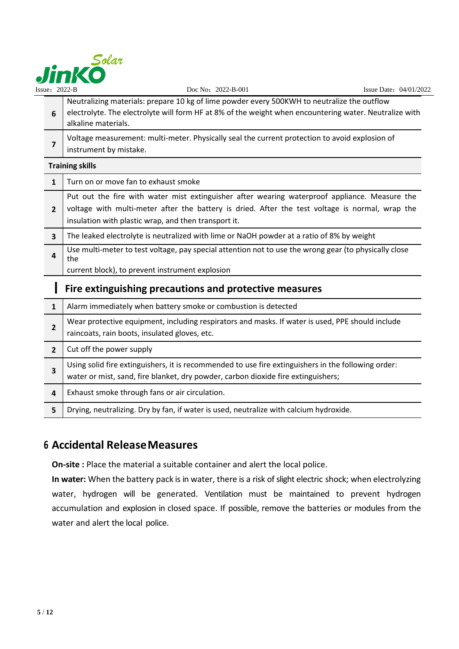

| Issue: $2022-B$         | Doc No: 2022-B-001                                                                                                                                                                                                                                       | Issue Date: 04/01/2022 |
|-------------------------|----------------------------------------------------------------------------------------------------------------------------------------------------------------------------------------------------------------------------------------------------------|------------------------|
| 6                       | Neutralizing materials: prepare 10 kg of lime powder every 500KWH to neutralize the outflow<br>electrolyte. The electrolyte will form HF at 8% of the weight when encountering water. Neutralize with<br>alkaline materials.                             |                        |
| 7                       | Voltage measurement: multi-meter. Physically seal the current protection to avoid explosion of<br>instrument by mistake.                                                                                                                                 |                        |
|                         | <b>Training skills</b>                                                                                                                                                                                                                                   |                        |
| $\mathbf{1}$            | Turn on or move fan to exhaust smoke                                                                                                                                                                                                                     |                        |
| $\overline{2}$          | Put out the fire with water mist extinguisher after wearing waterproof appliance. Measure the<br>voltage with multi-meter after the battery is dried. After the test voltage is normal, wrap the<br>insulation with plastic wrap, and then transport it. |                        |
| 3                       | The leaked electrolyte is neutralized with lime or NaOH powder at a ratio of 8% by weight                                                                                                                                                                |                        |
| 4                       | Use multi-meter to test voltage, pay special attention not to use the wrong gear (to physically close<br>the<br>current block), to prevent instrument explosion                                                                                          |                        |
|                         | Fire extinguishing precautions and protective measures                                                                                                                                                                                                   |                        |
| $\mathbf{1}$            | Alarm immediately when battery smoke or combustion is detected                                                                                                                                                                                           |                        |
| $\overline{2}$          | Wear protective equipment, including respirators and masks. If water is used, PPE should include<br>raincoats, rain boots, insulated gloves, etc.                                                                                                        |                        |
| $\overline{2}$          | Cut off the power supply                                                                                                                                                                                                                                 |                        |
| $\overline{\mathbf{3}}$ | Using solid fire extinguishers, it is recommended to use fire extinguishers in the following order:<br>water or mist, sand, fire blanket, dry powder, carbon dioxide fire extinguishers;                                                                 |                        |
| 4                       | Exhaust smoke through fans or air circulation.                                                                                                                                                                                                           |                        |
| 5                       | Drying, neutralizing. Dry by fan, if water is used, neutralize with calcium hydroxide.                                                                                                                                                                   |                        |

### **6 Accidental ReleaseMeasures**

**On-site :** Place the material a suitable container and alert the local police.

In water: When the battery pack is in water, there is a risk of slight electric shock; when electrolyzing water, hydrogen will be generated. Ventilation must be maintained to prevent hydrogen accumulation and explosion in closed space. If possible, remove the batteries or modules from the water and alert the local police.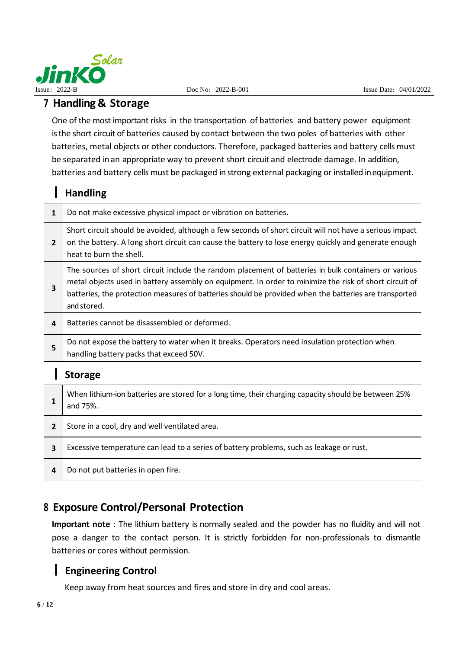

#### **7 Handling & Storage**

One of the most important risks in the transportation of batteries and battery power equipment is the short circuit of batteries caused by contact between the two poles of batteries with other batteries, metal objects or other conductors. Therefore, packaged batteries and battery cells must be separated in an appropriate way to prevent short circuit and electrode damage. In addition, batteries and battery cells must be packaged in strong external packaging or installed inequipment.

#### 丨 **Handling**

| $\mathbf{1}$   | Do not make excessive physical impact or vibration on batteries.                                                                                                                                                                                                                                                                       |
|----------------|----------------------------------------------------------------------------------------------------------------------------------------------------------------------------------------------------------------------------------------------------------------------------------------------------------------------------------------|
| $\overline{2}$ | Short circuit should be avoided, although a few seconds of short circuit will not have a serious impact<br>on the battery. A long short circuit can cause the battery to lose energy quickly and generate enough<br>heat to burn the shell.                                                                                            |
| 3              | The sources of short circuit include the random placement of batteries in bulk containers or various<br>metal objects used in battery assembly on equipment. In order to minimize the risk of short circuit of<br>batteries, the protection measures of batteries should be provided when the batteries are transported<br>and stored. |
| 4              | Batteries cannot be disassembled or deformed.                                                                                                                                                                                                                                                                                          |
| 5              | Do not expose the battery to water when it breaks. Operators need insulation protection when<br>handling battery packs that exceed 50V.                                                                                                                                                                                                |
|                | <b>Storage</b>                                                                                                                                                                                                                                                                                                                         |
|                | When lithium-ion batteries are stored for a long time, their charging capacity should be between 25%                                                                                                                                                                                                                                   |

| л. | writen infinitivities are stored for a long time, their charging capacity should be between 25%<br>and 75%. |
|----|-------------------------------------------------------------------------------------------------------------|
|    |                                                                                                             |

| $2^{\circ}$    | Store in a cool, dry and well ventilated area.                                           |
|----------------|------------------------------------------------------------------------------------------|
| 3              | Excessive temperature can lead to a series of battery problems, such as leakage or rust. |
| $\overline{a}$ | Do not put batteries in open fire.                                                       |

#### **8 Exposure Control/Personal Protection**

**Important note** : The lithium battery is normally sealed and the powder has no fluidity and will not pose a danger to the contact person. It is strictly forbidden for non-professionals to dismantle batteries or cores without permission.

#### 丨 **Engineering Control**

Keep away from heat sources and fires and store in dry and cool areas.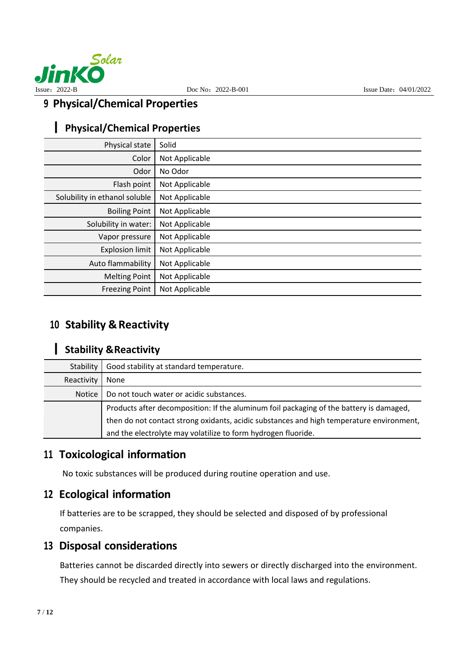

### **9 Physical/Chemical Properties**

## 丨 **Physical/Chemical Properties**

| Physical state                | Solid          |
|-------------------------------|----------------|
| Color                         | Not Applicable |
| Odor                          | No Odor        |
| Flash point                   | Not Applicable |
| Solubility in ethanol soluble | Not Applicable |
| <b>Boiling Point</b>          | Not Applicable |
| Solubility in water:          | Not Applicable |
| Vapor pressure                | Not Applicable |
| <b>Explosion limit</b>        | Not Applicable |
| Auto flammability             | Not Applicable |
| <b>Melting Point</b>          | Not Applicable |
| <b>Freezing Point</b>         | Not Applicable |

### **10 Stability & Reactivity**

#### 丨 **Stability &Reactivity**

| Good stability at standard temperature.<br>Stability      |                                                                                          |
|-----------------------------------------------------------|------------------------------------------------------------------------------------------|
| Reactivity<br>None                                        |                                                                                          |
| Do not touch water or acidic substances.<br><b>Notice</b> |                                                                                          |
|                                                           | Products after decomposition: If the aluminum foil packaging of the battery is damaged,  |
|                                                           | then do not contact strong oxidants, acidic substances and high temperature environment, |
|                                                           | and the electrolyte may volatilize to form hydrogen fluoride.                            |

#### **11 Toxicological information**

No toxic substances will be produced during routine operation and use.

## **12 Ecological information**

If batteries are to be scrapped, they should be selected and disposed of by professional companies.

#### **13 Disposal considerations**

Batteries cannot be discarded directly into sewers or directly discharged into the environment. They should be recycled and treated in accordance with local laws and regulations.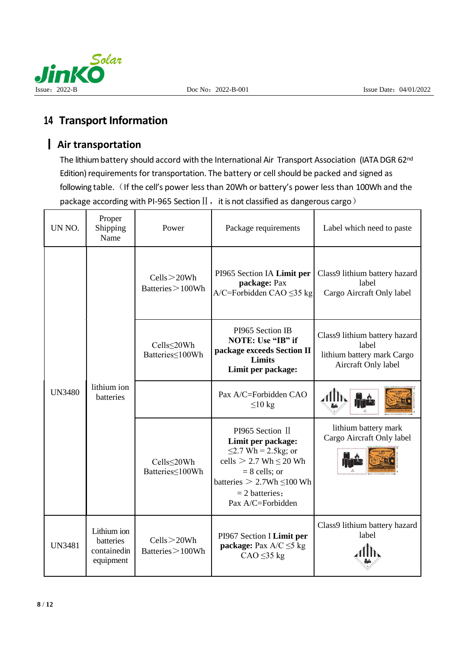



### **14 Transport Information**

#### 丨 **Air transportation**

The lithium battery should accord with the International Air Transport Association (IATA DGR 62nd Edition) requirements for transportation. The battery or cell should be packed and signed as following table. (If the cell's power less than 20Wh or battery's power less than 100Wh and the package according with PI-965 Section  $II$ , it is not classified as dangerous cargo)

| UN NO.        | Proper<br>Shipping<br>Name                           | Power                                  | Package requirements                                                                                                                                                                               | Label which need to paste                                                                   |
|---------------|------------------------------------------------------|----------------------------------------|----------------------------------------------------------------------------------------------------------------------------------------------------------------------------------------------------|---------------------------------------------------------------------------------------------|
|               | lithium ion<br>batteries                             | Cells > 20Wh<br>Batteries > 100Wh      | PI965 Section IA Limit per<br>package: Pax<br>$A/C =$ Forbidden CAO $\leq$ 35 kg                                                                                                                   | Class9 lithium battery hazard<br>label<br>Cargo Aircraft Only label                         |
|               |                                                      | Cells<20Wh<br>Batteries < <a>100Wh</a> | PI965 Section IB<br>NOTE: Use "IB" if<br>package exceeds Section II<br>Limits<br>Limit per package:                                                                                                | Class9 lithium battery hazard<br>label<br>lithium battery mark Cargo<br>Aircraft Only label |
| <b>UN3480</b> |                                                      |                                        | Pax A/C=Forbidden CAO<br>$\leq 10$ kg                                                                                                                                                              |                                                                                             |
|               |                                                      | Cells<20Wh<br>Batteries <100Wh         | PI965 Section II<br>Limit per package:<br>$\leq$ 2.7 Wh = 2.5kg; or<br>cells $> 2.7$ Wh $\leq 20$ Wh<br>$= 8$ cells; or<br>batteries $> 2.7Wh \le 100 Wh$<br>$= 2$ batteries;<br>Pax A/C=Forbidden | lithium battery mark<br>Cargo Aircraft Only label                                           |
| <b>UN3481</b> | Lithium ion<br>batteries<br>containedin<br>equipment | Cells > 20Wh<br>Batteries > 100Wh      | PI967 Section I Limit per<br><b>package:</b> Pax $A/C \leq 5$ kg<br>$CAO \leq 35 kg$                                                                                                               | Class9 lithium battery hazard<br>label                                                      |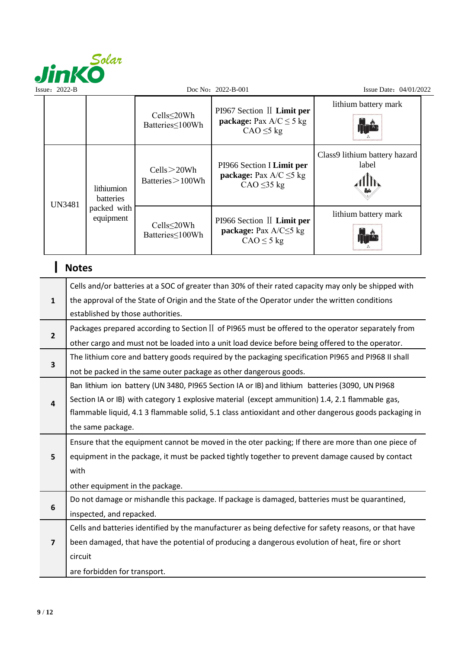

| Issue: $2022-B$ |               |                                                     | Doc No: $2022 - B - 001$               |                                                                                                                                                                                                        | Issue Date: 04/01/2022                                                                             |  |
|-----------------|---------------|-----------------------------------------------------|----------------------------------------|--------------------------------------------------------------------------------------------------------------------------------------------------------------------------------------------------------|----------------------------------------------------------------------------------------------------|--|
|                 |               |                                                     | Cells≤20Wh<br>Batteries < <a>100Wh</a> | PI967 Section II Limit per<br><b>package:</b> Pax $A/C \le 5$ kg<br>$CAO \leq 5$ kg                                                                                                                    | lithium battery mark                                                                               |  |
|                 | <b>UN3481</b> | lithiumion<br>batteries<br>packed with<br>equipment | Cells > 20Wh<br>Batteries > 100Wh      | PI966 Section I Limit per<br><b>package:</b> Pax $A/C \leq 5$ kg<br>$CAO \leq 35 kg$                                                                                                                   | Class9 lithium battery hazard<br>label                                                             |  |
|                 |               |                                                     | Cells≤20Wh<br>Batteries < <a>100Wh</a> | PI966 Section II Limit per<br>package: Pax $A/C \leq 5$ kg<br>$CAO \leq 5$ kg                                                                                                                          | lithium battery mark                                                                               |  |
|                 | <b>Notes</b>  |                                                     |                                        |                                                                                                                                                                                                        |                                                                                                    |  |
| $\mathbf{1}$    |               |                                                     |                                        | Cells and/or batteries at a SOC of greater than 30% of their rated capacity may only be shipped with<br>the approval of the State of Origin and the State of the Operator under the written conditions |                                                                                                    |  |
|                 |               | established by those authorities.                   |                                        |                                                                                                                                                                                                        | Packages prepared according to Section II of PI965 must be offered to the operator separately from |  |

| $\mathbf{2}$ |                                                                                                  |
|--------------|--------------------------------------------------------------------------------------------------|
|              | other cargo and must not be loaded into a unit load device before being offered to the operator. |

| The lithium core and battery goods required by the packaging specification PI965 and PI968 II shall |
|-----------------------------------------------------------------------------------------------------|
| not be packed in the same outer package as other dangerous goods.                                   |

|                         | TIOL DE DUCKEU III LITE SUITE OUTER DUCKURE US OTHER UNITREFOUS ROOUS.                                 |  |  |
|-------------------------|--------------------------------------------------------------------------------------------------------|--|--|
|                         | Ban lithium ion battery (UN 3480, PI965 Section IA or IB) and lithium batteries (3090, UN PI968        |  |  |
| 4                       | Section IA or IB) with category 1 explosive material (except ammunition) 1.4, 2.1 flammable gas,       |  |  |
|                         | flammable liquid, 4.1 3 flammable solid, 5.1 class antioxidant and other dangerous goods packaging in  |  |  |
|                         | the same package.                                                                                      |  |  |
|                         | Ensure that the equipment cannot be moved in the oter packing; If there are more than one piece of     |  |  |
| 5                       | equipment in the package, it must be packed tightly together to prevent damage caused by contact       |  |  |
|                         | with                                                                                                   |  |  |
|                         | other equipment in the package.                                                                        |  |  |
|                         | Do not damage or mishandle this package. If package is damaged, batteries must be quarantined,         |  |  |
| 6                       | inspected, and repacked.                                                                               |  |  |
|                         | Cells and batteries identified by the manufacturer as being defective for safety reasons, or that have |  |  |
| $\overline{\mathbf{z}}$ | been damaged, that have the potential of producing a dangerous evolution of heat, fire or short        |  |  |
|                         | circuit                                                                                                |  |  |

are forbidden for transport.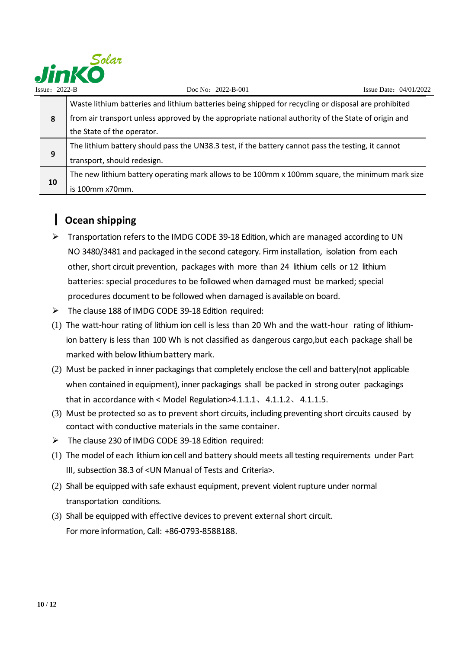

|    | Waste lithium batteries and lithium batteries being shipped for recycling or disposal are prohibited |
|----|------------------------------------------------------------------------------------------------------|
| 8  | from air transport unless approved by the appropriate national authority of the State of origin and  |
|    | the State of the operator.                                                                           |
|    | The lithium battery should pass the UN38.3 test, if the battery cannot pass the testing, it cannot   |
| 9  | transport, should redesign.                                                                          |
|    | The new lithium battery operating mark allows to be 100mm x 100mm square, the minimum mark size      |
| 10 | is 100mm x70mm.                                                                                      |

## 丨 **Ocean shipping**

- > Transportation refers to the IMDG CODE 39-18 Edition, which are managed according to UN NO 3480/3481 and packaged in the second category. Firm installation, isolation from each other, short circuit prevention, packages with more than 24 lithium cells or 12 lithium batteries: special procedures to be followed when damaged must be marked; special procedures document to be followed when damaged is available on board.
- > The clause 188 of IMDG CODE 39-18 Edition required:
- (1) The watt-hour rating of lithium ion cell is less than 20 Wh and the watt-hour rating of lithiumion battery is less than 100 Wh is not classified as dangerous cargo,but each package shall be marked with below lithium battery mark.
- (2) Must be packed in inner packagings that completely enclose the cell and battery(not applicable when contained in equipment), inner packagings shall be packed in strong outer packagings that in accordance with < Model Regulation>4.1.1.1、4.1.1.2、4.1.1.5.
- (3) Must be protected so as to prevent short circuits, including preventing short circuits caused by contact with conductive materials in the same container.
- $\triangleright$  The clause 230 of IMDG CODE 39-18 Edition required:
- (1) The model of each lithium ion cell and battery should meets all testing requirements under Part III, subsection 38.3 of <UN Manual of Tests and Criteria>.
- (2) Shall be equipped with safe exhaust equipment, prevent violent rupture under normal transportation conditions.
- (3) Shall be equipped with effective devices to prevent external short circuit. For more information, Call: +86-0793-8588188.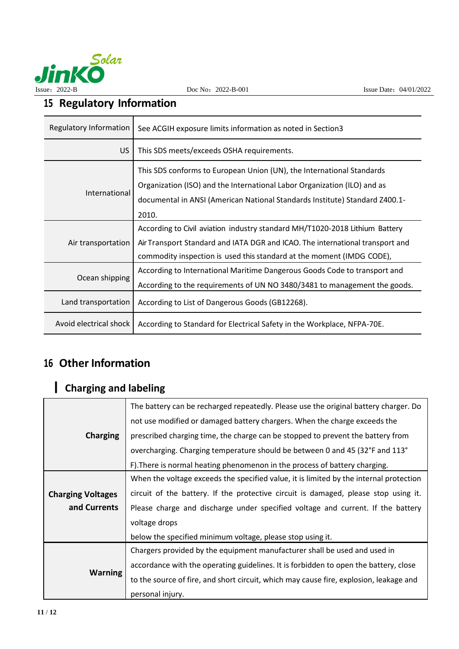

# **15 Regulatory Information**

| Regulatory Information   | See ACGIH exposure limits information as noted in Section3                                                                                                                                                                                |
|--------------------------|-------------------------------------------------------------------------------------------------------------------------------------------------------------------------------------------------------------------------------------------|
| US.                      | This SDS meets/exceeds OSHA requirements.                                                                                                                                                                                                 |
| International            | This SDS conforms to European Union (UN), the International Standards<br>Organization (ISO) and the International Labor Organization (ILO) and as<br>documental in ANSI (American National Standards Institute) Standard Z400.1-<br>2010. |
| Air transportation       | According to Civil aviation industry standard MH/T1020-2018 Lithium Battery<br>Air Transport Standard and IATA DGR and ICAO. The international transport and<br>commodity inspection is used this standard at the moment (IMDG CODE),     |
| Ocean shipping           | According to International Maritime Dangerous Goods Code to transport and<br>According to the requirements of UN NO 3480/3481 to management the goods.                                                                                    |
| Land transportation      | According to List of Dangerous Goods (GB12268).                                                                                                                                                                                           |
| Avoid electrical shock I | According to Standard for Electrical Safety in the Workplace, NFPA-70E.                                                                                                                                                                   |

# **16 Other Information**

# 丨 **Charging and labeling**

|                          | The battery can be recharged repeatedly. Please use the original battery charger. Do   |
|--------------------------|----------------------------------------------------------------------------------------|
|                          | not use modified or damaged battery chargers. When the charge exceeds the              |
| <b>Charging</b>          | prescribed charging time, the charge can be stopped to prevent the battery from        |
|                          | overcharging. Charging temperature should be between 0 and 45 (32°F and 113°           |
|                          | F). There is normal heating phenomenon in the process of battery charging.             |
|                          | When the voltage exceeds the specified value, it is limited by the internal protection |
| <b>Charging Voltages</b> | circuit of the battery. If the protective circuit is damaged, please stop using it.    |
| and Currents             | Please charge and discharge under specified voltage and current. If the battery        |
|                          | voltage drops                                                                          |
|                          | below the specified minimum voltage, please stop using it.                             |
| <b>Warning</b>           | Chargers provided by the equipment manufacturer shall be used and used in              |
|                          | accordance with the operating guidelines. It is forbidden to open the battery, close   |
|                          | to the source of fire, and short circuit, which may cause fire, explosion, leakage and |
|                          | personal injury.                                                                       |